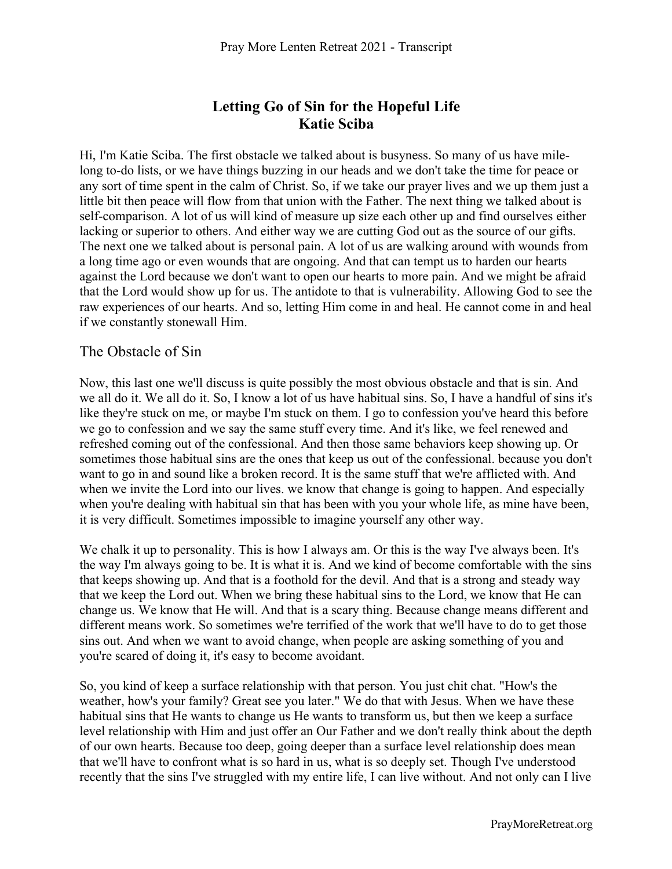# **Letting Go of Sin for the Hopeful Life Katie Sciba**

Hi, I'm Katie Sciba. The first obstacle we talked about is busyness. So many of us have milelong to-do lists, or we have things buzzing in our heads and we don't take the time for peace or any sort of time spent in the calm of Christ. So, if we take our prayer lives and we up them just a little bit then peace will flow from that union with the Father. The next thing we talked about is self-comparison. A lot of us will kind of measure up size each other up and find ourselves either lacking or superior to others. And either way we are cutting God out as the source of our gifts. The next one we talked about is personal pain. A lot of us are walking around with wounds from a long time ago or even wounds that are ongoing. And that can tempt us to harden our hearts against the Lord because we don't want to open our hearts to more pain. And we might be afraid that the Lord would show up for us. The antidote to that is vulnerability. Allowing God to see the raw experiences of our hearts. And so, letting Him come in and heal. He cannot come in and heal if we constantly stonewall Him.

### The Obstacle of Sin

Now, this last one we'll discuss is quite possibly the most obvious obstacle and that is sin. And we all do it. We all do it. So, I know a lot of us have habitual sins. So, I have a handful of sins it's like they're stuck on me, or maybe I'm stuck on them. I go to confession you've heard this before we go to confession and we say the same stuff every time. And it's like, we feel renewed and refreshed coming out of the confessional. And then those same behaviors keep showing up. Or sometimes those habitual sins are the ones that keep us out of the confessional. because you don't want to go in and sound like a broken record. It is the same stuff that we're afflicted with. And when we invite the Lord into our lives. we know that change is going to happen. And especially when you're dealing with habitual sin that has been with you your whole life, as mine have been, it is very difficult. Sometimes impossible to imagine yourself any other way.

We chalk it up to personality. This is how I always am. Or this is the way I've always been. It's the way I'm always going to be. It is what it is. And we kind of become comfortable with the sins that keeps showing up. And that is a foothold for the devil. And that is a strong and steady way that we keep the Lord out. When we bring these habitual sins to the Lord, we know that He can change us. We know that He will. And that is a scary thing. Because change means different and different means work. So sometimes we're terrified of the work that we'll have to do to get those sins out. And when we want to avoid change, when people are asking something of you and you're scared of doing it, it's easy to become avoidant.

So, you kind of keep a surface relationship with that person. You just chit chat. "How's the weather, how's your family? Great see you later." We do that with Jesus. When we have these habitual sins that He wants to change us He wants to transform us, but then we keep a surface level relationship with Him and just offer an Our Father and we don't really think about the depth of our own hearts. Because too deep, going deeper than a surface level relationship does mean that we'll have to confront what is so hard in us, what is so deeply set. Though I've understood recently that the sins I've struggled with my entire life, I can live without. And not only can I live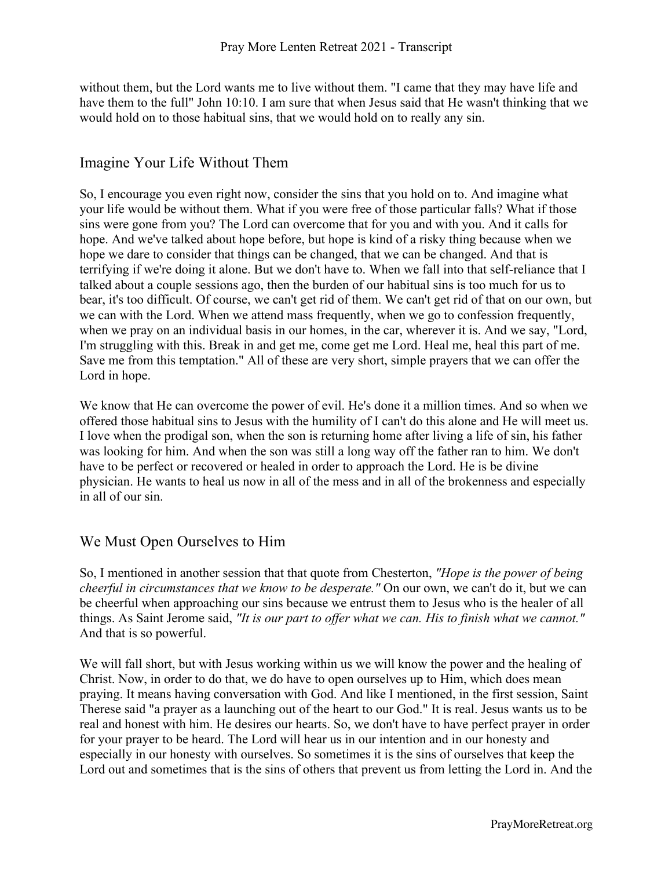without them, but the Lord wants me to live without them. "I came that they may have life and have them to the full" John 10:10. I am sure that when Jesus said that He wasn't thinking that we would hold on to those habitual sins, that we would hold on to really any sin.

### Imagine Your Life Without Them

So, I encourage you even right now, consider the sins that you hold on to. And imagine what your life would be without them. What if you were free of those particular falls? What if those sins were gone from you? The Lord can overcome that for you and with you. And it calls for hope. And we've talked about hope before, but hope is kind of a risky thing because when we hope we dare to consider that things can be changed, that we can be changed. And that is terrifying if we're doing it alone. But we don't have to. When we fall into that self-reliance that I talked about a couple sessions ago, then the burden of our habitual sins is too much for us to bear, it's too difficult. Of course, we can't get rid of them. We can't get rid of that on our own, but we can with the Lord. When we attend mass frequently, when we go to confession frequently, when we pray on an individual basis in our homes, in the car, wherever it is. And we say, "Lord, I'm struggling with this. Break in and get me, come get me Lord. Heal me, heal this part of me. Save me from this temptation." All of these are very short, simple prayers that we can offer the Lord in hope.

We know that He can overcome the power of evil. He's done it a million times. And so when we offered those habitual sins to Jesus with the humility of I can't do this alone and He will meet us. I love when the prodigal son, when the son is returning home after living a life of sin, his father was looking for him. And when the son was still a long way off the father ran to him. We don't have to be perfect or recovered or healed in order to approach the Lord. He is be divine physician. He wants to heal us now in all of the mess and in all of the brokenness and especially in all of our sin.

# We Must Open Ourselves to Him

So, I mentioned in another session that that quote from Chesterton, *"Hope is the power of being cheerful in circumstances that we know to be desperate."* On our own, we can't do it, but we can be cheerful when approaching our sins because we entrust them to Jesus who is the healer of all things. As Saint Jerome said, *"It is our part to offer what we can. His to finish what we cannot."* And that is so powerful.

We will fall short, but with Jesus working within us we will know the power and the healing of Christ. Now, in order to do that, we do have to open ourselves up to Him, which does mean praying. It means having conversation with God. And like I mentioned, in the first session, Saint Therese said "a prayer as a launching out of the heart to our God." It is real. Jesus wants us to be real and honest with him. He desires our hearts. So, we don't have to have perfect prayer in order for your prayer to be heard. The Lord will hear us in our intention and in our honesty and especially in our honesty with ourselves. So sometimes it is the sins of ourselves that keep the Lord out and sometimes that is the sins of others that prevent us from letting the Lord in. And the